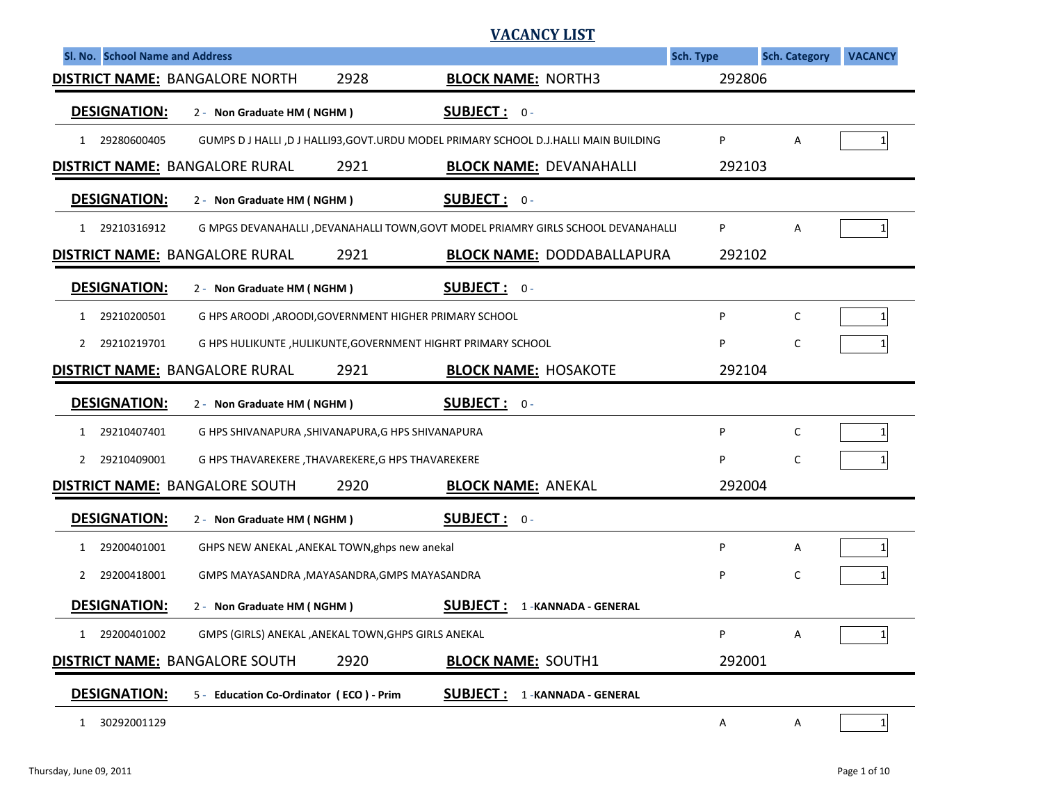|                                       |                                                        |                           | VACANCY LIST                                                                           |           |                      |                |
|---------------------------------------|--------------------------------------------------------|---------------------------|----------------------------------------------------------------------------------------|-----------|----------------------|----------------|
| Sl. No. School Name and Address       |                                                        |                           |                                                                                        | Sch. Type | <b>Sch. Category</b> | <b>VACANCY</b> |
| <b>DISTRICT NAME: BANGALORE NORTH</b> |                                                        | <b>BLOCK NAME: NORTH3</b> | 292806                                                                                 |           |                      |                |
| <b>DESIGNATION:</b>                   | 2 - Non Graduate HM (NGHM)                             |                           | <u>SUBJECT :</u><br>$0 -$                                                              |           |                      |                |
| 29280600405<br>1                      |                                                        |                           | GUMPS D J HALLI ,D J HALLI93, GOVT. URDU MODEL PRIMARY SCHOOL D.J. HALLI MAIN BUILDING | P         | A                    | 1              |
| <b>DISTRICT NAME: BANGALORE RURAL</b> |                                                        | 2921                      | <b>BLOCK NAME: DEVANAHALLI</b>                                                         | 292103    |                      |                |
| <b>DESIGNATION:</b>                   | 2 - Non Graduate HM (NGHM)                             |                           | <b>SUBJECT: 0-</b>                                                                     |           |                      |                |
| 29210316912<br>1                      |                                                        |                           | G MPGS DEVANAHALLI , DEVANAHALLI TOWN, GOVT MODEL PRIAMRY GIRLS SCHOOL DEVANAHALLI     | P         | A                    | $\mathbf{1}$   |
| <b>DISTRICT NAME: BANGALORE RURAL</b> |                                                        | 2921                      | <b>BLOCK NAME: DODDABALLAPURA</b>                                                      | 292102    |                      |                |
| <b>DESIGNATION:</b>                   | 2 - Non Graduate HM (NGHM)                             |                           | <b>SUBJECT: 0-</b>                                                                     |           |                      |                |
| 29210200501<br>1                      | G HPS AROODI, AROODI, GOVERNMENT HIGHER PRIMARY SCHOOL |                           |                                                                                        | P         | C                    | $\mathbf{1}$   |
| 29210219701<br>2                      |                                                        |                           | G HPS HULIKUNTE, HULIKUNTE, GOVERNMENT HIGHRT PRIMARY SCHOOL                           | P         | C                    |                |
| <b>DISTRICT NAME: BANGALORE RURAL</b> |                                                        | 2921                      | <b>BLOCK NAME: HOSAKOTE</b>                                                            | 292104    |                      |                |
| <b>DESIGNATION:</b>                   | 2 - Non Graduate HM (NGHM)                             |                           | <b>SUBJECT:</b> $0 -$                                                                  |           |                      |                |
| 29210407401<br>1                      | G HPS SHIVANAPURA , SHIVANAPURA, G HPS SHIVANAPURA     |                           |                                                                                        | P         | C                    | 1              |
| 29210409001<br>2                      | G HPS THAVAREKERE, THAVAREKERE, G HPS THAVAREKERE      |                           |                                                                                        | P         | C                    | 1              |
| <b>DISTRICT NAME: BANGALORE SOUTH</b> |                                                        | 2920                      | <b>BLOCK NAME: ANEKAL</b>                                                              | 292004    |                      |                |
| <b>DESIGNATION:</b>                   | 2 - Non Graduate HM (NGHM)                             |                           | <b>SUBJECT: 0-</b>                                                                     |           |                      |                |
| 29200401001<br>1                      | GHPS NEW ANEKAL , ANEKAL TOWN, ghps new anekal         |                           |                                                                                        | P         | Α                    | 1              |
| 29200418001<br>2                      | GMPS MAYASANDRA , MAYASANDRA, GMPS MAYASANDRA          |                           |                                                                                        | P         | C                    |                |
| <b>DESIGNATION:</b>                   | 2 - Non Graduate HM (NGHM)                             |                           | <b>SUBJECT:</b><br>1-KANNADA - GENERAL                                                 |           |                      |                |
| 29200401002                           | GMPS (GIRLS) ANEKAL , ANEKAL TOWN, GHPS GIRLS ANEKAL   |                           |                                                                                        | P         | Α                    | 1              |
| <b>DISTRICT NAME: BANGALORE SOUTH</b> |                                                        | 2920                      | <b>BLOCK NAME: SOUTH1</b>                                                              | 292001    |                      |                |
| <b>DESIGNATION:</b>                   | 5 - Education Co-Ordinator (ECO) - Prim                |                           | <b>SUBJECT:</b><br>1-KANNADA - GENERAL                                                 |           |                      |                |
| 30292001129<br>$\mathbf{1}$           |                                                        |                           |                                                                                        | Α         | Α                    | $1\vert$       |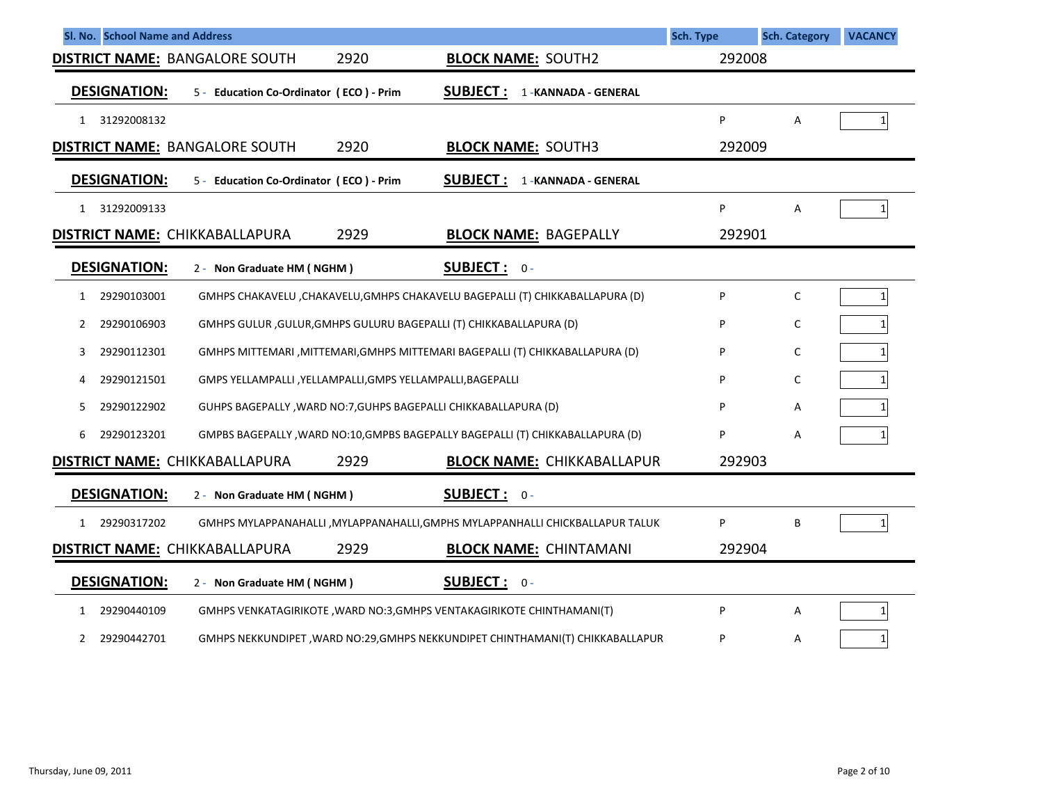| Sl. No. School Name and Address                                                                               | <b>Sch. Type</b> | <b>Sch. Category</b> | <b>VACANCY</b>  |
|---------------------------------------------------------------------------------------------------------------|------------------|----------------------|-----------------|
| 2920<br><b>DISTRICT NAME: BANGALORE SOUTH</b><br><b>BLOCK NAME: SOUTH2</b>                                    | 292008           |                      |                 |
| <b>DESIGNATION:</b><br><b>SUBJECT:</b><br>1-KANNADA - GENERAL<br>5 - Education Co-Ordinator (ECO) - Prim      |                  |                      |                 |
| 31292008132<br>1                                                                                              | P                | A                    | $1\overline{ }$ |
| 2920<br><b>DISTRICT NAME: BANGALORE SOUTH</b><br><b>BLOCK NAME: SOUTH3</b>                                    | 292009           |                      |                 |
| <b>DESIGNATION:</b><br><b>SUBJECT:</b><br>5 - Education Co-Ordinator (ECO) - Prim<br>1-KANNADA - GENERAL      |                  |                      |                 |
| 31292009133<br>$\mathbf{1}$                                                                                   | P                | A                    | 1               |
| 2929<br><b>BLOCK NAME: BAGEPALLY</b><br>DISTRICT NAME: CHIKKABALLAPURA                                        | 292901           |                      |                 |
| <b>DESIGNATION:</b><br><b>SUBJECT: 0-</b><br>2 - Non Graduate HM (NGHM)                                       |                  |                      |                 |
| 29290103001<br>GMHPS CHAKAVELU, CHAKAVELU, GMHPS CHAKAVELU BAGEPALLI (T) CHIKKABALLAPURA (D)<br>1             | P                | C                    | 1               |
| 29290106903<br>GMHPS GULUR, GULUR, GMHPS GULURU BAGEPALLI (T) CHIKKABALLAPURA (D)<br>2                        | P                | C                    |                 |
| 29290112301<br>GMHPS MITTEMARI , MITTEMARI, GMHPS MITTEMARI BAGEPALLI (T) CHIKKABALLAPURA (D)<br>3            | P                | C                    |                 |
| 29290121501<br>GMPS YELLAMPALLI , YELLAMPALLI, GMPS YELLAMPALLI, BAGEPALLI<br>4                               | P                | C                    |                 |
| 29290122902<br>GUHPS BAGEPALLY, WARD NO:7, GUHPS BAGEPALLI CHIKKABALLAPURA (D)<br>5.                          | P                | Α                    |                 |
| 29290123201<br>GMPBS BAGEPALLY , WARD NO:10, GMPBS BAGEPALLY BAGEPALLI (T) CHIKKABALLAPURA (D)<br>6           | P                | A                    |                 |
| DISTRICT NAME: CHIKKABALLAPURA<br>2929<br><b>BLOCK NAME: CHIKKABALLAPUR</b>                                   | 292903           |                      |                 |
| <b>DESIGNATION:</b><br>SUBJECT: 0-<br>2 - Non Graduate HM (NGHM)                                              |                  |                      |                 |
| 29290317202<br>GMHPS MYLAPPANAHALLI , MYLAPPANAHALLI, GMPHS MYLAPPANHALLI CHICKBALLAPUR TALUK<br>$\mathbf{1}$ | P                | B                    |                 |
| 2929<br><b>DISTRICT NAME: CHIKKABALLAPURA</b><br><b>BLOCK NAME: CHINTAMANI</b>                                | 292904           |                      |                 |
| <b>DESIGNATION:</b><br><b>SUBJECT: 0-</b><br>2 - Non Graduate HM (NGHM)                                       |                  |                      |                 |
| 29290440109<br>GMHPS VENKATAGIRIKOTE, WARD NO:3, GMHPS VENTAKAGIRIKOTE CHINTHAMANI(T)<br>1                    | P                | A                    | 1               |
| 29290442701<br>GMHPS NEKKUNDIPET, WARD NO:29, GMHPS NEKKUNDIPET CHINTHAMANI(T) CHIKKABALLAPUR<br>$\mathbf{2}$ | P                | Α                    | 1               |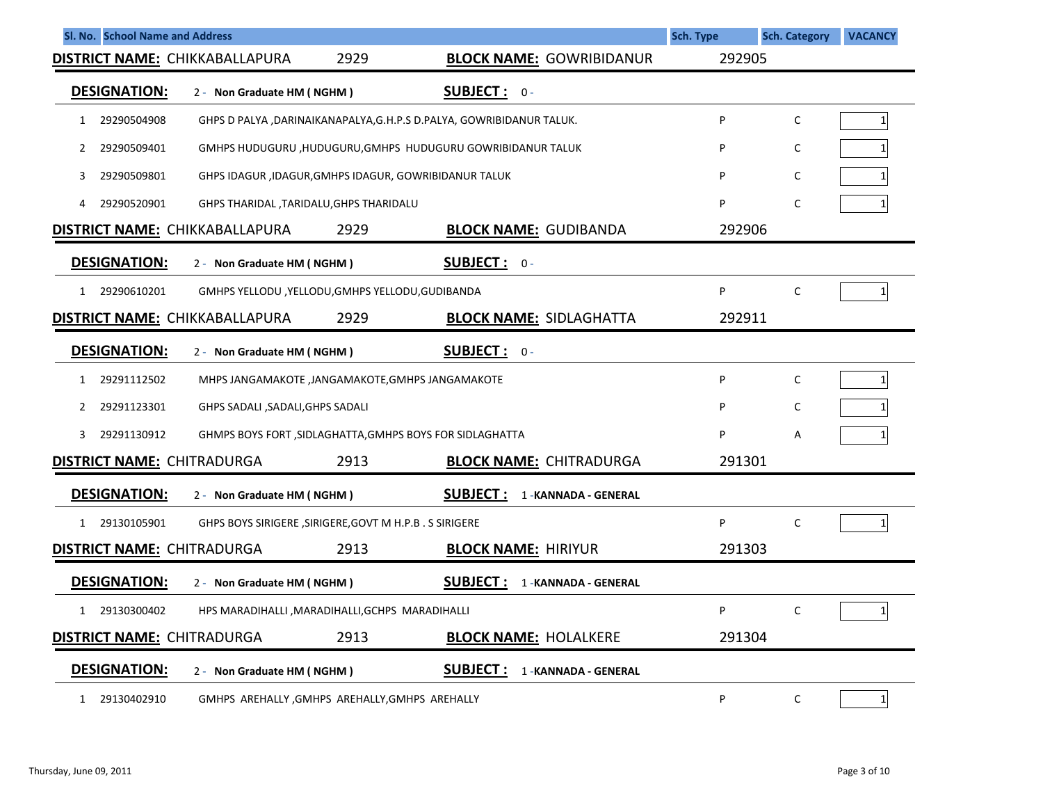| Sl. No. School Name and Address       |                                                                      |                                           | Sch. Type | <b>Sch. Category</b> | <b>VACANCY</b>  |
|---------------------------------------|----------------------------------------------------------------------|-------------------------------------------|-----------|----------------------|-----------------|
| <b>DISTRICT NAME: CHIKKABALLAPURA</b> | 2929                                                                 | <b>BLOCK NAME: GOWRIBIDANUR</b>           | 292905    |                      |                 |
| <b>DESIGNATION:</b>                   | 2 - Non Graduate HM (NGHM)                                           | <b>SUBJECT: 0-</b>                        |           |                      |                 |
| 29290504908<br>1                      | GHPS D PALYA, DARINAIKANAPALYA, G.H.P.S D.PALYA, GOWRIBIDANUR TALUK. |                                           | P         | $\mathsf{C}$         | $1\vert$        |
| 29290509401<br>2                      | GMHPS HUDUGURU, HUDUGURU, GMHPS HUDUGURU GOWRIBIDANUR TALUK          |                                           | P         | C                    | 1 <sup>1</sup>  |
| 29290509801<br>3                      | GHPS IDAGUR , IDAGUR, GMHPS IDAGUR, GOWRIBIDANUR TALUK               |                                           | P         | C                    | 1 <sup>1</sup>  |
| 29290520901<br>4                      | GHPS THARIDAL , TARIDALU, GHPS THARIDALU                             |                                           | P         | C                    |                 |
| <b>DISTRICT NAME: CHIKKABALLAPURA</b> | 2929                                                                 | <b>BLOCK NAME: GUDIBANDA</b>              | 292906    |                      |                 |
| <b>DESIGNATION:</b>                   | 2 - Non Graduate HM (NGHM)                                           | <b>SUBJECT: 0-</b>                        |           |                      |                 |
| 29290610201                           | GMHPS YELLODU, YELLODU, GMHPS YELLODU, GUDIBANDA                     |                                           | P         | C                    | $1\vert$        |
| <b>DISTRICT NAME: CHIKKABALLAPURA</b> | 2929                                                                 | <b>BLOCK NAME: SIDLAGHATTA</b>            | 292911    |                      |                 |
| <b>DESIGNATION:</b>                   | 2 - Non Graduate HM (NGHM)                                           | <b>SUBJECT: 0-</b>                        |           |                      |                 |
| 29291112502<br>$\mathbf{1}$           | MHPS JANGAMAKOTE, JANGAMAKOTE, GMHPS JANGAMAKOTE                     |                                           | P         | $\mathsf{C}$         | $1\vert$        |
| 29291123301<br>2                      | GHPS SADALI , SADALI, GHPS SADALI                                    |                                           | P         | C                    | 1 <sup>1</sup>  |
| 29291130912<br>3                      | GHMPS BOYS FORT , SIDLAGHATTA, GMHPS BOYS FOR SIDLAGHATTA            |                                           | P         | A                    | 1 <sup>1</sup>  |
| <b>DISTRICT NAME: CHITRADURGA</b>     | 2913                                                                 | <b>BLOCK NAME: CHITRADURGA</b>            | 291301    |                      |                 |
| <b>DESIGNATION:</b>                   | 2 - Non Graduate HM (NGHM)                                           | <b>SUBJECT:</b><br>1-KANNADA - GENERAL    |           |                      |                 |
| 29130105901<br>$\mathbf{1}$           | GHPS BOYS SIRIGERE, SIRIGERE, GOVT M H.P.B. S SIRIGERE               |                                           | P         | C                    | 1 <sup>1</sup>  |
| <b>DISTRICT NAME: CHITRADURGA</b>     | 2913                                                                 | <b>BLOCK NAME: HIRIYUR</b>                | 291303    |                      |                 |
| <b>DESIGNATION:</b>                   | 2 - Non Graduate HM (NGHM)                                           | <b>SUBJECT :</b><br>1 - KANNADA - GENERAL |           |                      |                 |
| 29130300402<br>1                      | HPS MARADIHALLI, MARADIHALLI, GCHPS MARADIHALLI                      |                                           | P         | C                    | $\mathbf{1}$    |
| <b>DISTRICT NAME: CHITRADURGA</b>     | 2913                                                                 | <b>BLOCK NAME: HOLALKERE</b>              | 291304    |                      |                 |
| <b>DESIGNATION:</b>                   | 2 - Non Graduate HM (NGHM)                                           | <b>SUBJECT :</b><br>1 - KANNADA - GENERAL |           |                      |                 |
| 29130402910<br>1                      | GMHPS AREHALLY, GMHPS AREHALLY, GMHPS AREHALLY                       |                                           | P         | C                    | $1\overline{ }$ |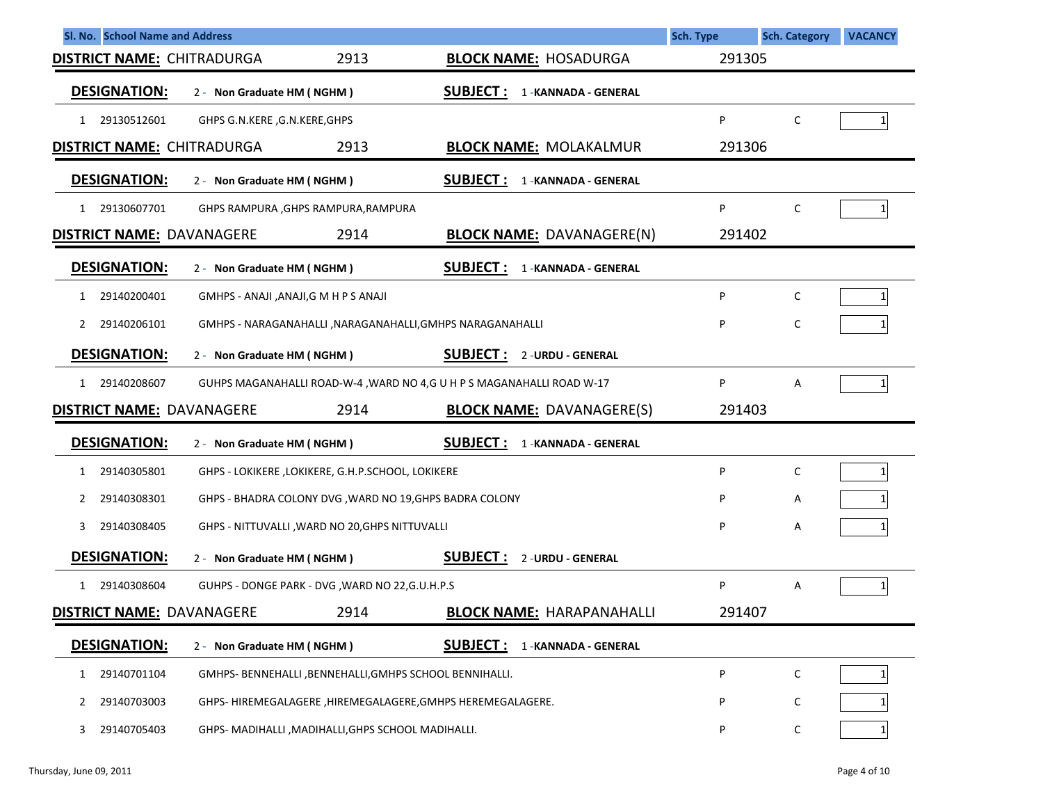| Sl. No. School Name and Address   |                                                            |                                                                       | Sch. Type | <b>Sch. Category</b> | <b>VACANCY</b> |
|-----------------------------------|------------------------------------------------------------|-----------------------------------------------------------------------|-----------|----------------------|----------------|
| <b>DISTRICT NAME: CHITRADURGA</b> | 2913                                                       | <b>BLOCK NAME: HOSADURGA</b>                                          | 291305    |                      |                |
| <b>DESIGNATION:</b>               | 2 - Non Graduate HM (NGHM)                                 | <b>SUBJECT:</b><br>1 - KANNADA - GENERAL                              |           |                      |                |
| 1 29130512601                     | GHPS G.N.KERE, G.N.KERE, GHPS                              |                                                                       | P         | C                    | 1              |
| <b>DISTRICT NAME: CHITRADURGA</b> | 2913                                                       | <b>BLOCK NAME: MOLAKALMUR</b>                                         | 291306    |                      |                |
| <b>DESIGNATION:</b>               | 2 - Non Graduate HM (NGHM)                                 | <u>SUBJECT :</u><br>1-KANNADA - GENERAL                               |           |                      |                |
| 29130607701<br>1                  | GHPS RAMPURA , GHPS RAMPURA, RAMPURA                       |                                                                       | P         | C                    | 1              |
| <b>DISTRICT NAME: DAVANAGERE</b>  | 2914                                                       | <b>BLOCK NAME: DAVANAGERE(N)</b>                                      | 291402    |                      |                |
| <b>DESIGNATION:</b>               | 2 - Non Graduate HM (NGHM)                                 | <b>SUBJECT:</b><br>1 - KANNADA - GENERAL                              |           |                      |                |
| 29140200401<br>1                  | GMHPS - ANAJI, ANAJI, GMHPS ANAJI                          |                                                                       | P         | C                    | 1 <sup>1</sup> |
| 29140206101<br>2                  | GMHPS - NARAGANAHALLI , NARAGANAHALLI, GMHPS NARAGANAHALLI |                                                                       | P         | C                    |                |
| <b>DESIGNATION:</b>               | 2 - Non Graduate HM (NGHM)                                 | <b>SUBJECT: 2-URDU-GENERAL</b>                                        |           |                      |                |
| 29140208607<br>$\mathbf{1}$       |                                                            | GUHPS MAGANAHALLI ROAD-W-4, WARD NO 4,G U H P S MAGANAHALLI ROAD W-17 | P         | Α                    | 11             |
| <b>DISTRICT NAME: DAVANAGERE</b>  | 2914                                                       | <b>BLOCK NAME: DAVANAGERE(S)</b>                                      | 291403    |                      |                |
| <b>DESIGNATION:</b>               | 2 - Non Graduate HM (NGHM)                                 | <b>SUBJECT:</b><br>1 - KANNADA - GENERAL                              |           |                      |                |
| 29140305801<br>1                  | GHPS - LOKIKERE , LOKIKERE, G.H.P.SCHOOL, LOKIKERE         |                                                                       | P         | C                    | 1              |
| 29140308301<br>2                  | GHPS - BHADRA COLONY DVG, WARD NO 19, GHPS BADRA COLONY    |                                                                       | P         | Α                    |                |
| 29140308405<br>3                  | GHPS - NITTUVALLI, WARD NO 20, GHPS NITTUVALLI             |                                                                       | P         | Α                    |                |
| <b>DESIGNATION:</b>               | 2 - Non Graduate HM (NGHM)                                 | <b>SUBJECT:</b><br>2 - URDU - GENERAL                                 |           |                      |                |
| 29140308604<br>$\mathbf{1}$       | GUHPS - DONGE PARK - DVG, WARD NO 22, G.U.H.P.S            |                                                                       | P         | Α                    | 1              |
| <b>DISTRICT NAME: DAVANAGERE</b>  | 2914                                                       | <b>BLOCK NAME: HARAPANAHALLI</b>                                      | 291407    |                      |                |
| <b>DESIGNATION:</b>               | 2 - Non Graduate HM (NGHM)                                 | <u>SUBJECT :</u><br>1-KANNADA - GENERAL                               |           |                      |                |
| 29140701104<br>1                  | GMHPS- BENNEHALLI, BENNEHALLI, GMHPS SCHOOL BENNIHALLI.    |                                                                       | P         | $\mathsf C$          |                |
| 29140703003<br>2                  | GHPS-HIREMEGALAGERE, HIREMEGALAGERE, GMHPS HEREMEGALAGERE. |                                                                       | Ρ         | C                    |                |
| 29140705403<br>3                  | GHPS- MADIHALLI , MADIHALLI, GHPS SCHOOL MADIHALLI.        |                                                                       | P         | C                    |                |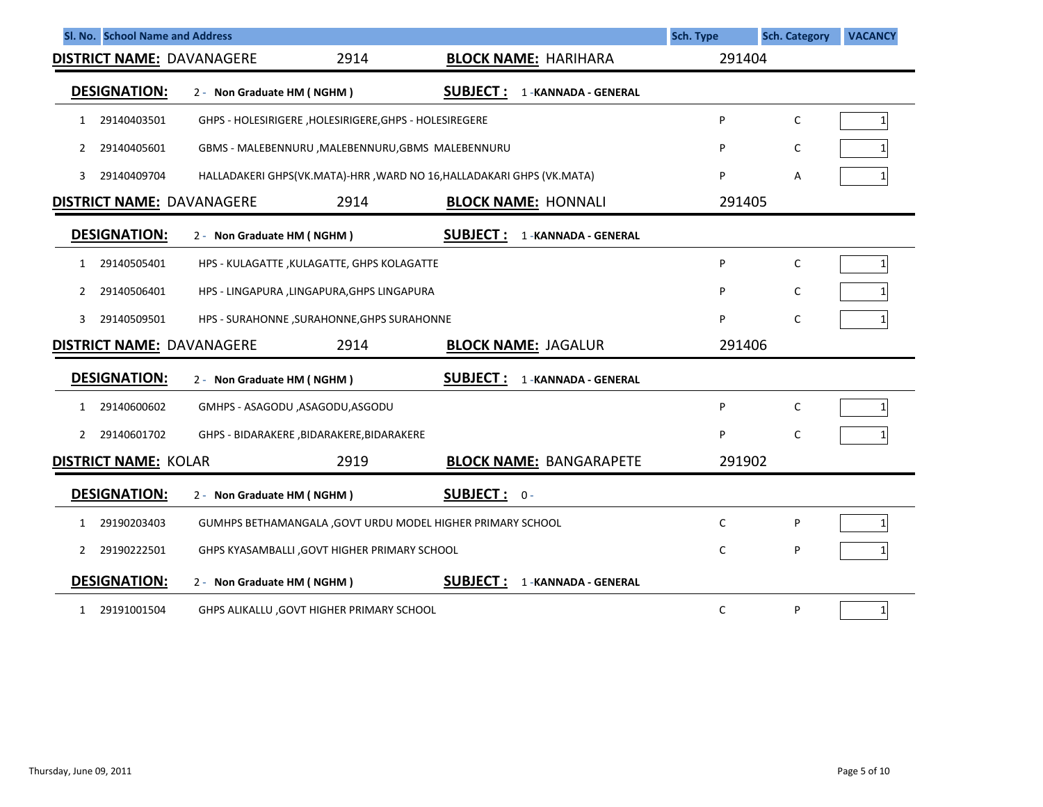|              | Sl. No. School Name and Address  |                            |                                                        |                                                                       | <b>Sch. Type</b> | <b>Sch. Category</b> | <b>VACANCY</b>  |
|--------------|----------------------------------|----------------------------|--------------------------------------------------------|-----------------------------------------------------------------------|------------------|----------------------|-----------------|
|              | <b>DISTRICT NAME: DAVANAGERE</b> |                            | 2914                                                   | <b>BLOCK NAME: HARIHARA</b>                                           | 291404           |                      |                 |
|              | <b>DESIGNATION:</b>              | 2 - Non Graduate HM (NGHM) |                                                        | <b>SUBJECT:</b><br>1 - KANNADA - GENERAL                              |                  |                      |                 |
| 1            | 29140403501                      |                            | GHPS - HOLESIRIGERE, HOLESIRIGERE, GHPS - HOLESIREGERE |                                                                       | P                | C                    | $\mathbf{1}$    |
| 2            | 29140405601                      |                            | GBMS - MALEBENNURU , MALEBENNURU, GBMS MALEBENNURU     |                                                                       | P                | С                    |                 |
| 3            | 29140409704                      |                            |                                                        | HALLADAKERI GHPS(VK.MATA)-HRR, WARD NO 16, HALLADAKARI GHPS (VK.MATA) | P                | Α                    |                 |
|              | <b>DISTRICT NAME: DAVANAGERE</b> |                            | 2914                                                   | <b>BLOCK NAME: HONNALI</b>                                            | 291405           |                      |                 |
|              | <b>DESIGNATION:</b>              | 2 - Non Graduate HM (NGHM) |                                                        | <b>SUBJECT:</b><br>1 - KANNADA - GENERAL                              |                  |                      |                 |
| 1            | 29140505401                      |                            | HPS - KULAGATTE , KULAGATTE, GHPS KOLAGATTE            |                                                                       | P                | C                    | $\mathbf{1}$    |
| 2            | 29140506401                      |                            | HPS - LINGAPURA ,LINGAPURA,GHPS LINGAPURA              |                                                                       | P                | С                    |                 |
| 3.           | 29140509501                      |                            | HPS - SURAHONNE , SURAHONNE, GHPS SURAHONNE            |                                                                       | P                | C                    |                 |
|              | <b>DISTRICT NAME: DAVANAGERE</b> |                            | 2914                                                   | <b>BLOCK NAME: JAGALUR</b>                                            | 291406           |                      |                 |
|              | <b>DESIGNATION:</b>              | 2 - Non Graduate HM (NGHM) |                                                        | <b>SUBJECT:</b><br>1 - KANNADA - GENERAL                              |                  |                      |                 |
| $\mathbf{1}$ | 29140600602                      |                            | GMHPS - ASAGODU, ASAGODU, ASGODU                       |                                                                       | P                | C                    | $\mathbf{1}$    |
| 2            | 29140601702                      |                            | GHPS - BIDARAKERE , BIDARAKERE, BIDARAKERE             |                                                                       | P                | C                    |                 |
|              | <b>DISTRICT NAME: KOLAR</b>      |                            | 2919                                                   | <b>BLOCK NAME: BANGARAPETE</b>                                        | 291902           |                      |                 |
|              | <b>DESIGNATION:</b>              | 2 - Non Graduate HM (NGHM) |                                                        | <b>SUBJECT: 0-</b>                                                    |                  |                      |                 |
| 1            | 29190203403                      |                            |                                                        | GUMHPS BETHAMANGALA, GOVT URDU MODEL HIGHER PRIMARY SCHOOL            | C                | P                    | $1\overline{ }$ |
| 2            | 29190222501                      |                            | GHPS KYASAMBALLI, GOVT HIGHER PRIMARY SCHOOL           |                                                                       | C                | P                    |                 |
|              | <b>DESIGNATION:</b>              | 2 - Non Graduate HM (NGHM) |                                                        | <b>SUBJECT:</b><br>1 - KANNADA - GENERAL                              |                  |                      |                 |
| $\mathbf{1}$ | 29191001504                      |                            | GHPS ALIKALLU, GOVT HIGHER PRIMARY SCHOOL              |                                                                       | C                | P                    | $1\vert$        |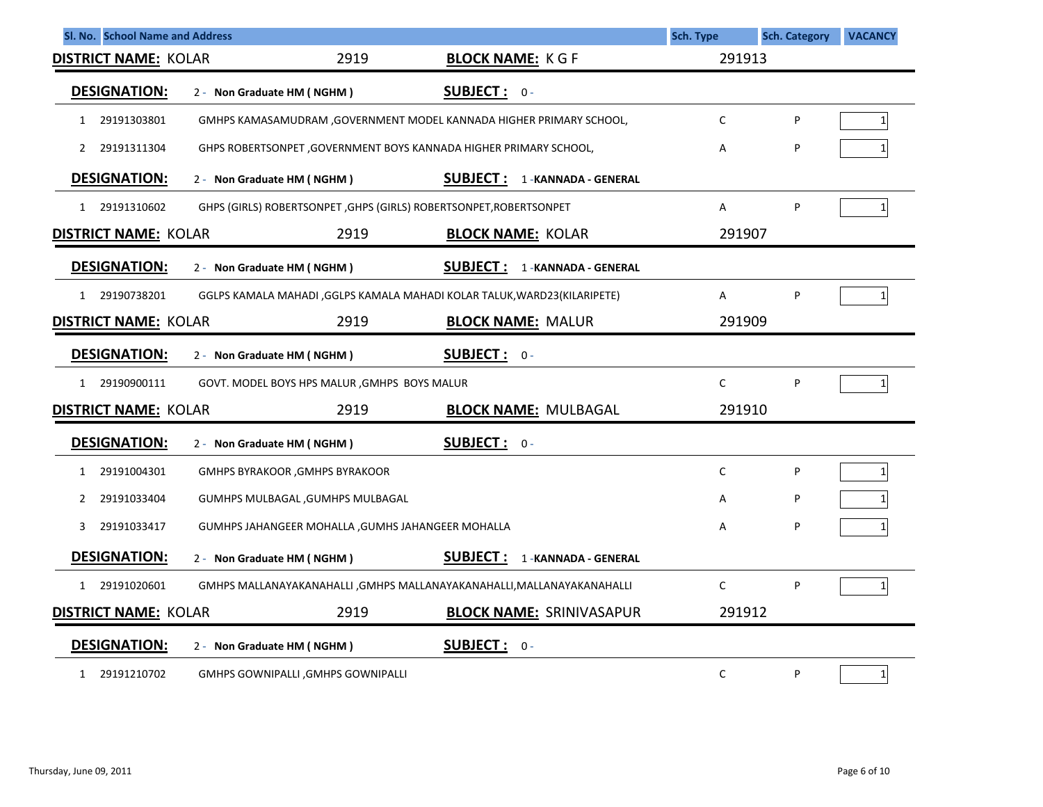| Sl. No. School Name and Address     |                                           |                                                   |                                                                         | <b>Sch. Type</b> | <b>Sch. Category</b> | <b>VACANCY</b> |
|-------------------------------------|-------------------------------------------|---------------------------------------------------|-------------------------------------------------------------------------|------------------|----------------------|----------------|
| 2919<br><b>DISTRICT NAME: KOLAR</b> |                                           | <b>BLOCK NAME: KGF</b>                            | 291913                                                                  |                  |                      |                |
| <b>DESIGNATION:</b>                 | 2 - Non Graduate HM (NGHM)                |                                                   | <b>SUBJECT: 0-</b>                                                      |                  |                      |                |
| 29191303801<br>1                    |                                           |                                                   | GMHPS KAMASAMUDRAM , GOVERNMENT MODEL KANNADA HIGHER PRIMARY SCHOOL,    | C                | P                    | $1\vert$       |
| 29191311304<br>2                    |                                           |                                                   | GHPS ROBERTSONPET, GOVERNMENT BOYS KANNADA HIGHER PRIMARY SCHOOL,       | А                | P                    |                |
| <b>DESIGNATION:</b>                 | 2 - Non Graduate HM (NGHM)                |                                                   | <b>SUBJECT: 1-KANNADA-GENERAL</b>                                       |                  |                      |                |
| 29191310602<br>$\mathbf{1}$         |                                           |                                                   | GHPS (GIRLS) ROBERTSONPET, GHPS (GIRLS) ROBERTSONPET, ROBERTSONPET      | A                | P                    | 1 <sup>1</sup> |
| <b>DISTRICT NAME: KOLAR</b>         |                                           | 2919                                              | <b>BLOCK NAME: KOLAR</b>                                                | 291907           |                      |                |
| <b>DESIGNATION:</b>                 | 2 - Non Graduate HM (NGHM)                |                                                   | <u>SUBJECT :</u><br>1 - KANNADA - GENERAL                               |                  |                      |                |
| 29190738201<br>$\mathbf{1}$         |                                           |                                                   | GGLPS KAMALA MAHADI ,GGLPS KAMALA MAHADI KOLAR TALUK,WARD23(KILARIPETE) | A                | P                    | $1\vert$       |
| <b>DISTRICT NAME: KOLAR</b>         |                                           | 2919                                              | <b>BLOCK NAME: MALUR</b>                                                | 291909           |                      |                |
| <b>DESIGNATION:</b>                 | 2 - Non Graduate HM (NGHM)                |                                                   | SUBJECT: 0-                                                             |                  |                      |                |
| 29190900111<br>$\mathbf{1}$         |                                           | GOVT. MODEL BOYS HPS MALUR , GMHPS BOYS MALUR     |                                                                         | C                | P                    | 1 <sup>1</sup> |
| <b>DISTRICT NAME: KOLAR</b>         |                                           | 2919                                              | <b>BLOCK NAME: MULBAGAL</b>                                             | 291910           |                      |                |
| <b>DESIGNATION:</b>                 | 2 - Non Graduate HM (NGHM)                |                                                   | <b>SUBJECT: 0-</b>                                                      |                  |                      |                |
| 29191004301<br>1                    | <b>GMHPS BYRAKOOR, GMHPS BYRAKOOR</b>     |                                                   |                                                                         | C                | P                    | 1 <sup>1</sup> |
| 29191033404<br>2                    | GUMHPS MULBAGAL, GUMHPS MULBAGAL          |                                                   |                                                                         | А                | P                    |                |
| 29191033417<br>3                    |                                           | GUMHPS JAHANGEER MOHALLA, GUMHS JAHANGEER MOHALLA |                                                                         | Α                | P                    |                |
| <b>DESIGNATION:</b>                 | 2 - Non Graduate HM (NGHM)                |                                                   | <b>SUBJECT:</b><br>1 - KANNADA - GENERAL                                |                  |                      |                |
| 29191020601<br>$\mathbf{1}$         |                                           |                                                   | GMHPS MALLANAYAKANAHALLI , GMHPS MALLANAYAKANAHALLI, MALLANAYAKANAHALLI | C                | P                    | 1 <sup>1</sup> |
| <b>DISTRICT NAME: KOLAR</b>         |                                           | 2919                                              | <b>BLOCK NAME: SRINIVASAPUR</b>                                         | 291912           |                      |                |
| <b>DESIGNATION:</b>                 | 2 - Non Graduate HM (NGHM)                |                                                   | SUBJECT: 0-                                                             |                  |                      |                |
| 29191210702<br>1                    | <b>GMHPS GOWNIPALLI, GMHPS GOWNIPALLI</b> |                                                   |                                                                         | С                | P                    | $1\vert$       |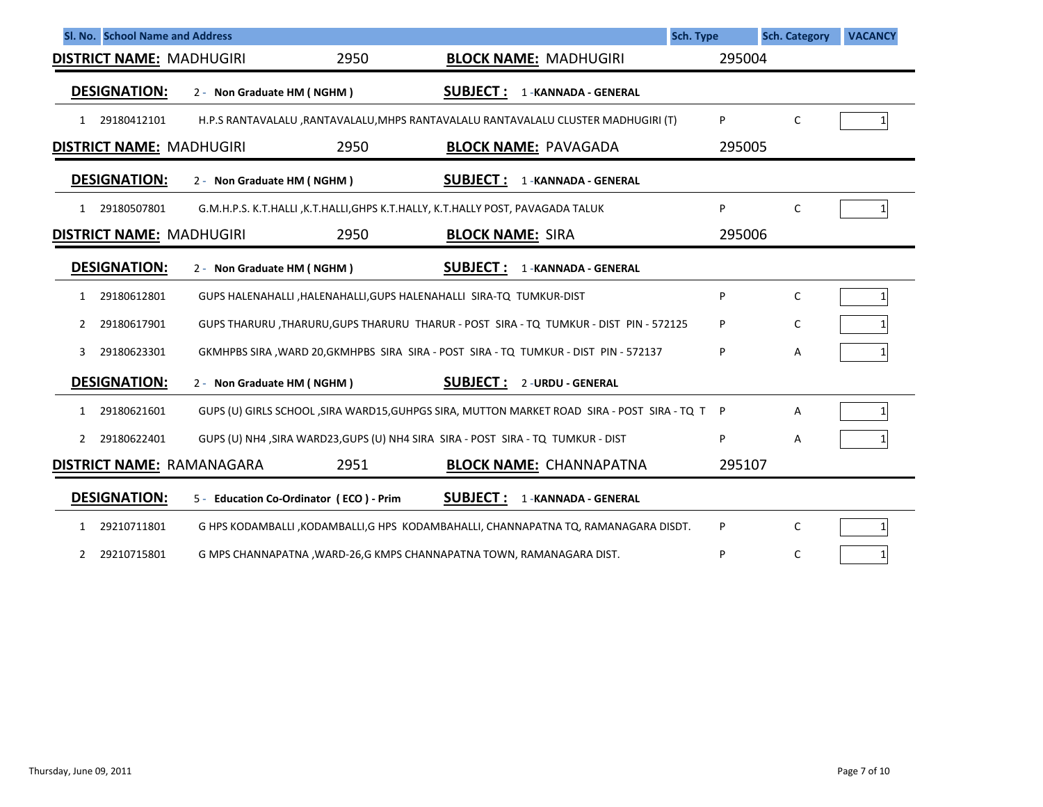| Sl. No. School Name and Address  |                            |                                         |                                                                                                | <b>Sch. Type</b> | <b>Sch. Category</b> | <b>VACANCY</b> |
|----------------------------------|----------------------------|-----------------------------------------|------------------------------------------------------------------------------------------------|------------------|----------------------|----------------|
| <b>DISTRICT NAME: MADHUGIRI</b>  |                            | 2950                                    | <b>BLOCK NAME: MADHUGIRI</b>                                                                   | 295004           |                      |                |
| <b>DESIGNATION:</b>              | 2 - Non Graduate HM (NGHM) |                                         | <b>SUBJECT:</b><br>1 - KANNADA - GENERAL                                                       |                  |                      |                |
| 29180412101<br>$1 \quad$         |                            |                                         | H.P.S RANTAVALALU , RANTAVALALU, MHPS RANTAVALALU RANTAVALALU CLUSTER MADHUGIRI (T)            | P                | C                    |                |
| <b>DISTRICT NAME: MADHUGIRI</b>  |                            | 2950                                    | <b>BLOCK NAME: PAVAGADA</b>                                                                    | 295005           |                      |                |
| <b>DESIGNATION:</b>              | 2 - Non Graduate HM (NGHM) |                                         | <b>SUBJECT :</b><br>1 - KANNADA - GENERAL                                                      |                  |                      |                |
| 29180507801<br>$\mathbf{1}$      |                            |                                         | G.M.H.P.S. K.T.HALLI ,K.T.HALLI,GHPS K.T.HALLY, K.T.HALLY POST, PAVAGADA TALUK                 | P                | C                    |                |
| <b>DISTRICT NAME: MADHUGIRI</b>  |                            | 2950                                    | <b>BLOCK NAME: SIRA</b>                                                                        | 295006           |                      |                |
| <b>DESIGNATION:</b>              | 2 - Non Graduate HM (NGHM) |                                         | <b>SUBJECT:</b><br>1 - KANNADA - GENERAL                                                       |                  |                      |                |
| 29180612801<br>1                 |                            |                                         | GUPS HALENAHALLI , HALENAHALLI, GUPS HALENAHALLI SIRA-TQ TUMKUR-DIST                           | P                | $\mathsf{C}$         |                |
| 29180617901<br>2                 |                            |                                         | GUPS THARURU, THARURU, GUPS THARURU THARUR - POST SIRA - TO TUMKUR - DIST PIN - 572125         | P                | C                    |                |
| 29180623301<br>3                 |                            |                                         | GKMHPBS SIRA , WARD 20, GKMHPBS SIRA SIRA - POST SIRA - TQ TUMKUR - DIST PIN - 572137          | P                | Α                    |                |
| <b>DESIGNATION:</b>              | 2 - Non Graduate HM (NGHM) |                                         | <b>SUBJECT :</b><br>2 - URDU - GENERAL                                                         |                  |                      |                |
| 29180621601<br>$\mathbf{1}$      |                            |                                         | GUPS (U) GIRLS SCHOOL , SIRA WARD15, GUHPGS SIRA, MUTTON MARKET ROAD SIRA - POST SIRA - TO T P |                  | Α                    |                |
| 29180622401<br>2                 |                            |                                         | GUPS (U) NH4 , SIRA WARD23, GUPS (U) NH4 SIRA SIRA - POST SIRA - TO TUMKUR - DIST              | P                | Α                    |                |
| <b>DISTRICT NAME: RAMANAGARA</b> |                            | 2951                                    | <b>BLOCK NAME: CHANNAPATNA</b>                                                                 | 295107           |                      |                |
| <b>DESIGNATION:</b>              |                            | 5 - Education Co-Ordinator (ECO) - Prim | <b>SUBJECT:</b><br>1 - KANNADA - GENERAL                                                       |                  |                      |                |
| 29210711801<br>$\mathbf{1}$      |                            |                                         | G HPS KODAMBALLI , KODAMBALLI, G HPS KODAMBAHALLI, CHANNAPATNA TQ, RAMANAGARA DISDT.           | P                | C                    |                |
| 29210715801<br>$\mathbf{2}$      |                            |                                         | G MPS CHANNAPATNA , WARD-26, G KMPS CHANNAPATNA TOWN, RAMANAGARA DIST.                         | P                | C                    | 1 <sup>1</sup> |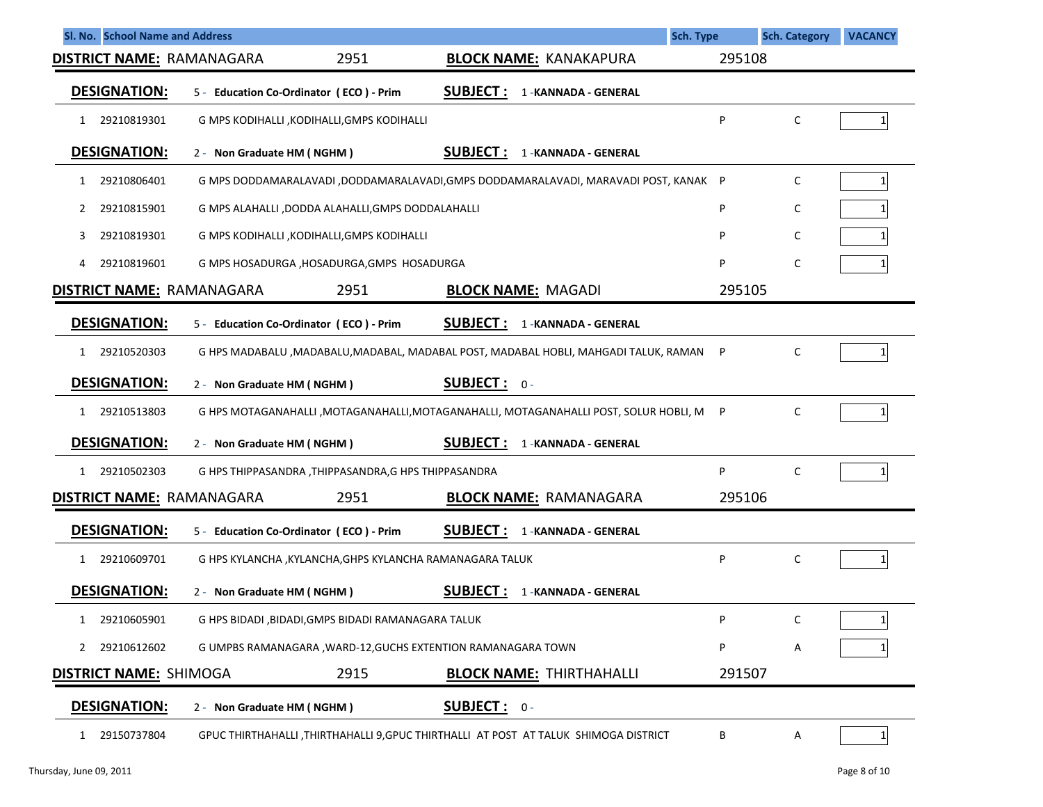| Sl. No. School Name and Address  |                                                                                          |                                          | <b>Sch. Type</b> | <b>Sch. Category</b> | <b>VACANCY</b> |
|----------------------------------|------------------------------------------------------------------------------------------|------------------------------------------|------------------|----------------------|----------------|
| <b>DISTRICT NAME: RAMANAGARA</b> | 2951                                                                                     | <b>BLOCK NAME: KANAKAPURA</b>            | 295108           |                      |                |
| <b>DESIGNATION:</b>              | 5 - Education Co-Ordinator (ECO) - Prim                                                  | <b>SUBJECT:</b><br>1 - KANNADA - GENERAL |                  |                      |                |
| 29210819301<br>$\mathbf{1}$      | G MPS KODIHALLI , KODIHALLI, GMPS KODIHALLI                                              |                                          | P                | C                    | 1 <sup>1</sup> |
| <b>DESIGNATION:</b>              | 2 - Non Graduate HM (NGHM)                                                               | <b>SUBJECT:</b><br>1 - KANNADA - GENERAL |                  |                      |                |
| 29210806401<br>1                 | G MPS DODDAMARALAVADI ,DODDAMARALAVADI,GMPS DODDAMARALAVADI, MARAVADI POST, KANAK P      |                                          |                  | C                    | $1\vert$       |
| 29210815901<br>2                 | G MPS ALAHALLI ,DODDA ALAHALLI,GMPS DODDALAHALLI                                         |                                          | P                | C                    |                |
| 29210819301<br>3.                | G MPS KODIHALLI , KODIHALLI, GMPS KODIHALLI                                              |                                          | P                | C                    |                |
| 29210819601<br>4                 | G MPS HOSADURGA , HOSADURGA, GMPS HOSADURGA                                              |                                          | P                | C                    |                |
| <b>DISTRICT NAME: RAMANAGARA</b> | 2951                                                                                     | <b>BLOCK NAME: MAGADI</b>                | 295105           |                      |                |
| <b>DESIGNATION:</b>              | 5 - Education Co-Ordinator (ECO) - Prim                                                  | SUBJECT:<br>1 - KANNADA - GENERAL        |                  |                      |                |
| 29210520303<br>1                 | G HPS MADABALU , MADABALU, MADABAL, MADABAL POST, MADABAL HOBLI, MAHGADI TALUK, RAMAN    |                                          | P                | C                    | $1\vert$       |
| <b>DESIGNATION:</b>              | 2 - Non Graduate HM (NGHM)                                                               | <b>SUBJECT:</b> $0 -$                    |                  |                      |                |
| 29210513803<br>$\mathbf{1}$      | G HPS MOTAGANAHALLI , MOTAGANAHALLI, MOTAGANAHALLI, MOTAGANAHALLI POST, SOLUR HOBLI, M P |                                          |                  | C                    |                |
| <b>DESIGNATION:</b>              | 2 - Non Graduate HM (NGHM)                                                               | <b>SUBJECT:</b><br>1-KANNADA - GENERAL   |                  |                      |                |
| 29210502303<br>$\mathbf{1}$      | G HPS THIPPASANDRA, THIPPASANDRA, G HPS THIPPASANDRA                                     |                                          | P                | C                    |                |
| <b>DISTRICT NAME: RAMANAGARA</b> | 2951                                                                                     | <b>BLOCK NAME: RAMANAGARA</b>            | 295106           |                      |                |
| <b>DESIGNATION:</b>              | 5 - Education Co-Ordinator (ECO) - Prim                                                  | <b>SUBJECT:</b><br>1 - KANNADA - GENERAL |                  |                      |                |
| 29210609701<br>1                 | G HPS KYLANCHA, KYLANCHA, GHPS KYLANCHA RAMANAGARA TALUK                                 |                                          | P                | C                    |                |
| <b>DESIGNATION:</b>              | 2 - Non Graduate HM (NGHM)                                                               | <b>SUBJECT:</b><br>1 - KANNADA - GENERAL |                  |                      |                |
| 29210605901<br>1                 | G HPS BIDADI , BIDADI, GMPS BIDADI RAMANAGARA TALUK                                      |                                          | P                | C                    |                |
| 29210612602                      | G UMPBS RAMANAGARA, WARD-12, GUCHS EXTENTION RAMANAGARA TOWN                             |                                          | P                | Α                    |                |
| <b>DISTRICT NAME: SHIMOGA</b>    | 2915                                                                                     | <b>BLOCK NAME: THIRTHAHALLI</b>          | 291507           |                      |                |
| <b>DESIGNATION:</b>              | 2 - Non Graduate HM (NGHM)                                                               | <b>SUBJECT: 0-</b>                       |                  |                      |                |
| 29150737804<br>1                 | GPUC THIRTHAHALLI ,THIRTHAHALLI 9,GPUC THIRTHALLI AT POST AT TALUK SHIMOGA DISTRICT      |                                          | В                | Α                    | $\mathbf{1}$   |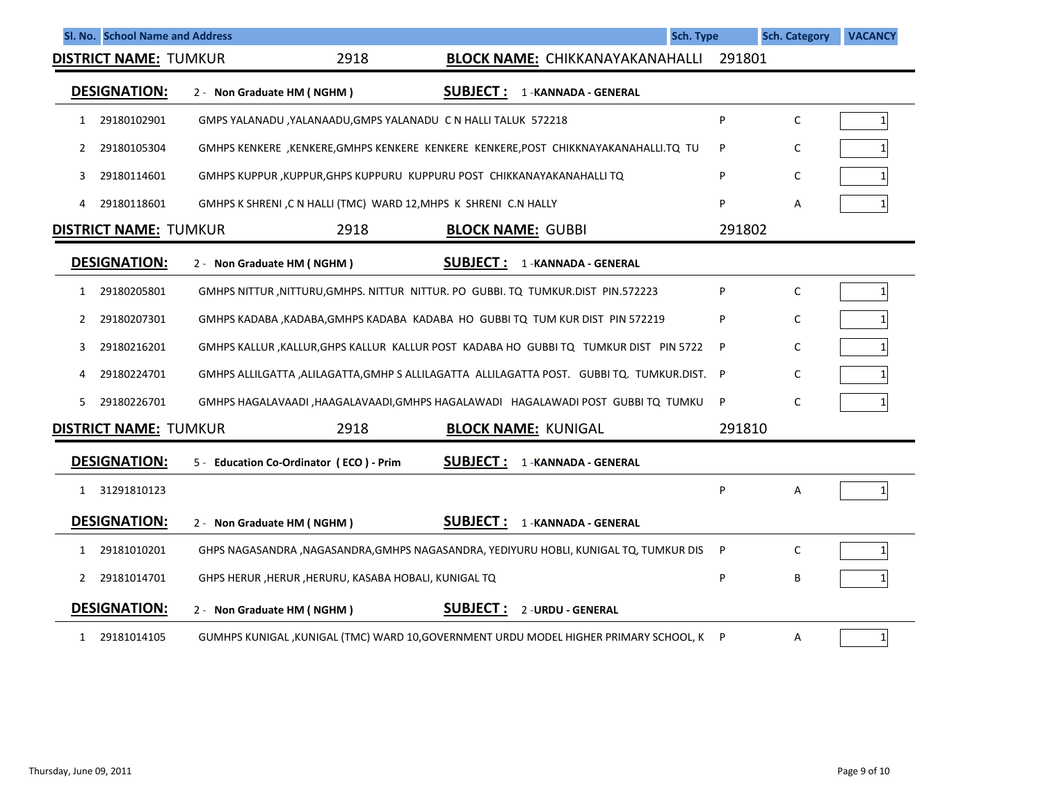|    | Sl. No. School Name and Address |                                                                  | <b>Sch. Type</b>                                                                                  |        | <b>Sch. Category</b> | <b>VACANCY</b> |
|----|---------------------------------|------------------------------------------------------------------|---------------------------------------------------------------------------------------------------|--------|----------------------|----------------|
|    | <b>DISTRICT NAME: TUMKUR</b>    | 2918                                                             | <b>BLOCK NAME: CHIKKANAYAKANAHALLI</b>                                                            | 291801 |                      |                |
|    | <b>DESIGNATION:</b>             | 2 - Non Graduate HM (NGHM)                                       | <b>SUBJECT:</b><br>1 - KANNADA - GENERAL                                                          |        |                      |                |
| 1  | 29180102901                     | GMPS YALANADU , YALANAADU, GMPS YALANADU C N HALLI TALUK 572218  |                                                                                                   | P      | C                    | 1 <sup>1</sup> |
| 2  | 29180105304                     |                                                                  | GMHPS KENKERE, KENKERE, GMHPS KENKERE KENKERE KENKERE, POST CHIKKNAYAKANAHALLI.TQ TU              | P      | C                    | 1              |
| 3  | 29180114601                     |                                                                  | GMHPS KUPPUR, KUPPUR, GHPS KUPPURU KUPPURU POST CHIKKANAYAKANAHALLI TQ                            | P      | C                    |                |
| 4  | 29180118601                     | GMHPS K SHRENI, C N HALLI (TMC) WARD 12, MHPS K SHRENI C.N HALLY |                                                                                                   | P      | Α                    |                |
|    | <b>DISTRICT NAME: TUMKUR</b>    | 2918                                                             | <b>BLOCK NAME: GUBBI</b>                                                                          | 291802 |                      |                |
|    | <b>DESIGNATION:</b>             | 2 - Non Graduate HM (NGHM)                                       | <b>SUBJECT:</b><br>1 - KANNADA - GENERAL                                                          |        |                      |                |
| 1  | 29180205801                     |                                                                  | GMHPS NITTUR, NITTURU, GMHPS. NITTUR NITTUR. PO GUBBI. TQ TUMKUR. DIST PIN. 572223                | P      | C                    | 1 <sup>1</sup> |
| 2  | 29180207301                     |                                                                  | GMHPS KADABA, KADABA, GMHPS KADABA KADABA HO GUBBITQ TUM KUR DIST PIN 572219                      | P      | C                    |                |
| 3  | 29180216201                     |                                                                  | GMHPS KALLUR, KALLUR, GHPS KALLUR KALLUR POST KADABA HO GUBBI TO TUMKUR DIST PIN 5722             | P      | C                    |                |
| 4  | 29180224701                     |                                                                  | GMHPS ALLILGATTA ,ALILAGATTA,GMHP S ALLILAGATTA  ALLILAGATTA POST.   GUBBI TQ.  TUMKUR.DIST.    P |        | C                    |                |
| 5. | 29180226701                     |                                                                  | GMHPS HAGALAVAADI , HAAGALAVAADI, GMHPS HAGALAWADI HAGALAWADI POST GUBBI TQ TUMKU                 | P      | C                    | 1              |
|    | <b>DISTRICT NAME: TUMKUR</b>    | 2918                                                             | <b>BLOCK NAME: KUNIGAL</b>                                                                        | 291810 |                      |                |
|    | <b>DESIGNATION:</b>             | 5 - Education Co-Ordinator (ECO) - Prim                          | <b>SUBJECT:</b><br>1 - KANNADA - GENERAL                                                          |        |                      |                |
| 1  | 31291810123                     |                                                                  |                                                                                                   | P      | Α                    | 1 <sup>1</sup> |
|    | <b>DESIGNATION:</b>             | 2 - Non Graduate HM (NGHM)                                       | <b>SUBJECT:</b><br>1 - KANNADA - GENERAL                                                          |        |                      |                |
| 1  | 29181010201                     |                                                                  | GHPS NAGASANDRA ,NAGASANDRA,GMHPS NAGASANDRA, YEDIYURU HOBLI, KUNIGAL TQ, TUMKUR DIS              | P      | C                    | 1 <sup>1</sup> |
| 2  | 29181014701                     | GHPS HERUR , HERUR , HERURU, KASABA HOBALI, KUNIGAL TQ           |                                                                                                   | P      | B                    |                |
|    | <b>DESIGNATION:</b>             | 2 - Non Graduate HM (NGHM)                                       | <b>SUBJECT:</b><br>2-URDU - GENERAL                                                               |        |                      |                |
| 1  | 29181014105                     |                                                                  | GUMHPS KUNIGAL ,KUNIGAL (TMC) WARD 10,GOVERNMENT URDU MODEL HIGHER PRIMARY SCHOOL, K              | P      | Α                    | $1\vert$       |